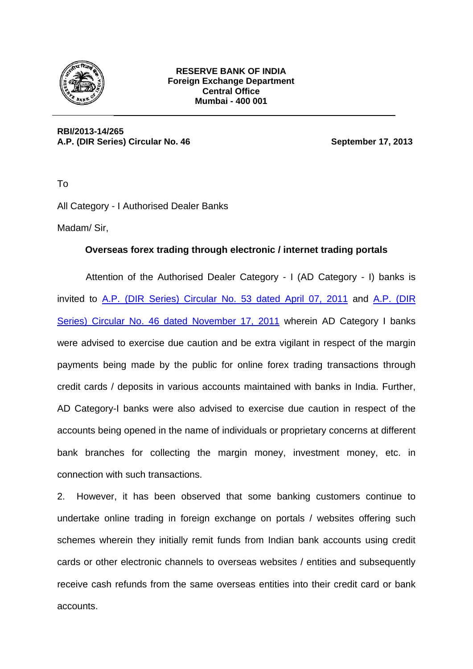

## **RESERVE BANK OF INDIA Foreign Exchange Department Central Office Mumbai - 400 001**

**RBI/2013-14/265**  A.P. (DIR Series) Circular No. 46 September 17, 2013

To

All Category - I Authorised Dealer Banks

Madam/ Sir,

## **Overseas forex trading through electronic / internet trading portals**

 Attention of the Authorised Dealer Category - I (AD Category - I) banks is invited to [A.P. \(DIR Series\) Circular No. 53 dated April 07, 2011](http://rbi.org.in/scripts/NotificationUser.aspx?Id=6336&Mode=0) and A.P. (DIR [Series\) Circular No. 46 dated November 17, 2011](http://rbi.org.in/scripts/NotificationUser.aspx?Id=6819&Mode=0) wherein AD Category I banks were advised to exercise due caution and be extra vigilant in respect of the margin payments being made by the public for online forex trading transactions through credit cards / deposits in various accounts maintained with banks in India. Further, AD Category-I banks were also advised to exercise due caution in respect of the accounts being opened in the name of individuals or proprietary concerns at different bank branches for collecting the margin money, investment money, etc. in connection with such transactions.

2. However, it has been observed that some banking customers continue to undertake online trading in foreign exchange on portals / websites offering such schemes wherein they initially remit funds from Indian bank accounts using credit cards or other electronic channels to overseas websites / entities and subsequently receive cash refunds from the same overseas entities into their credit card or bank accounts.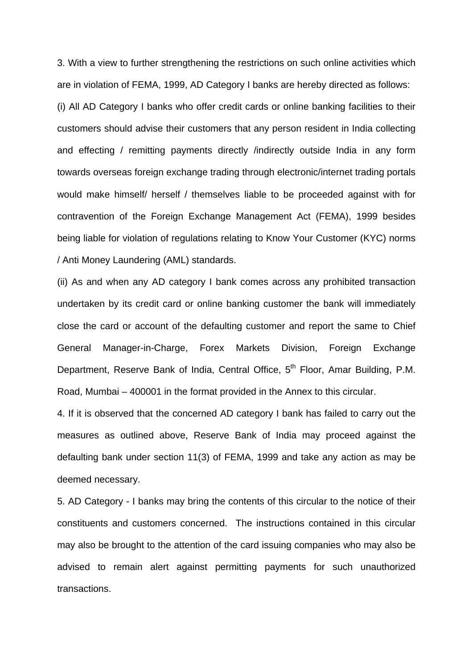3. With a view to further strengthening the restrictions on such online activities which are in violation of FEMA, 1999, AD Category I banks are hereby directed as follows: (i) All AD Category I banks who offer credit cards or online banking facilities to their customers should advise their customers that any person resident in India collecting and effecting / remitting payments directly /indirectly outside India in any form towards overseas foreign exchange trading through electronic/internet trading portals would make himself/ herself / themselves liable to be proceeded against with for contravention of the Foreign Exchange Management Act (FEMA), 1999 besides being liable for violation of regulations relating to Know Your Customer (KYC) norms / Anti Money Laundering (AML) standards.

(ii) As and when any AD category I bank comes across any prohibited transaction undertaken by its credit card or online banking customer the bank will immediately close the card or account of the defaulting customer and report the same to Chief General Manager-in-Charge, Forex Markets Division, Foreign Exchange Department, Reserve Bank of India, Central Office, 5<sup>th</sup> Floor, Amar Building, P.M. Road, Mumbai – 400001 in the format provided in the Annex to this circular.

4. If it is observed that the concerned AD category I bank has failed to carry out the measures as outlined above, Reserve Bank of India may proceed against the defaulting bank under section 11(3) of FEMA, 1999 and take any action as may be deemed necessary.

5. AD Category - I banks may bring the contents of this circular to the notice of their constituents and customers concerned. The instructions contained in this circular may also be brought to the attention of the card issuing companies who may also be advised to remain alert against permitting payments for such unauthorized transactions.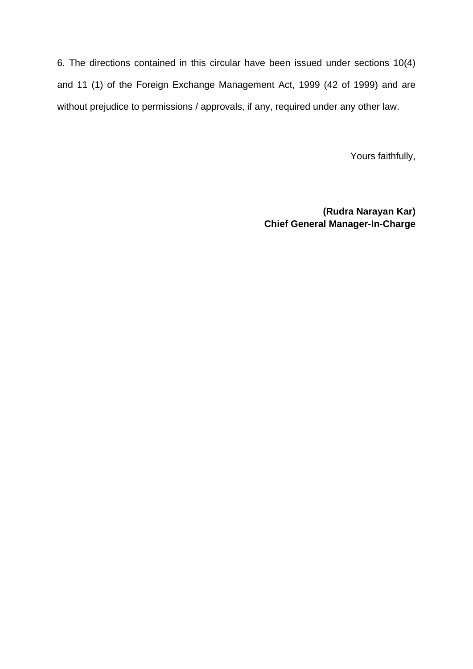6. The directions contained in this circular have been issued under sections 10(4) and 11 (1) of the Foreign Exchange Management Act, 1999 (42 of 1999) and are without prejudice to permissions / approvals, if any, required under any other law.

Yours faithfully,

 **(Rudra Narayan Kar) Chief General Manager-In-Charge**